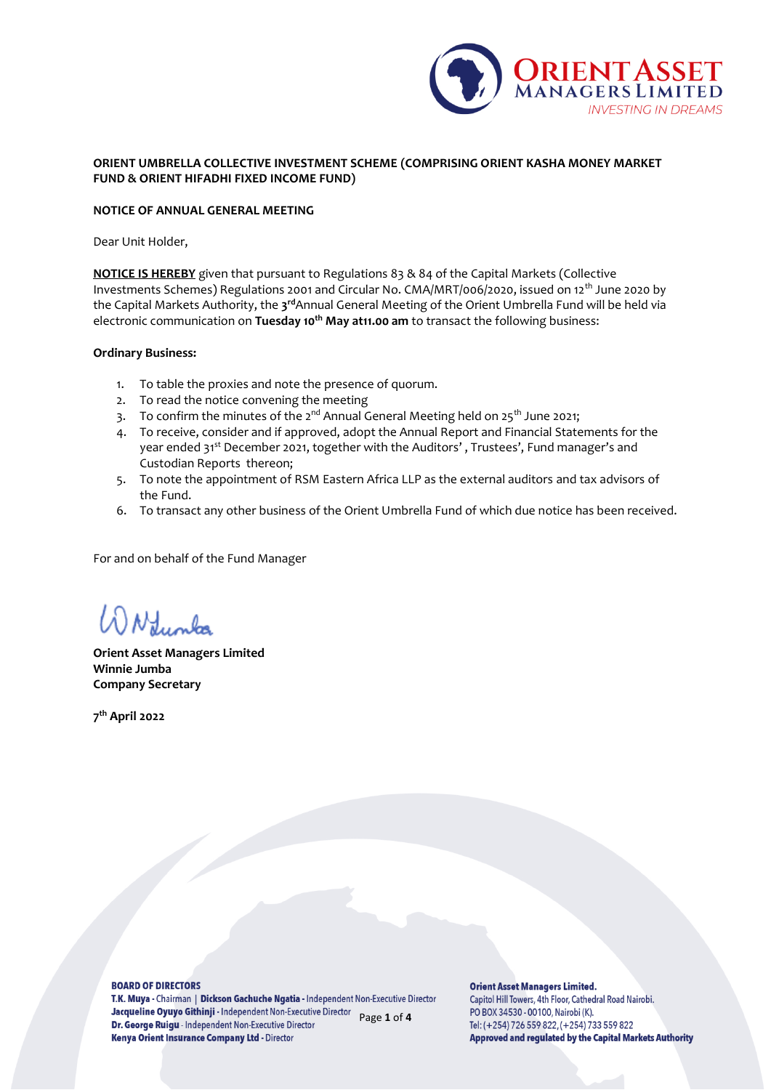

# **ORIENT UMBRELLA COLLECTIVE INVESTMENT SCHEME (COMPRISING ORIENT KASHA MONEY MARKET FUND & ORIENT HIFADHI FIXED INCOME FUND)**

### **NOTICE OF ANNUAL GENERAL MEETING**

Dear Unit Holder,

**NOTICE IS HEREBY** given that pursuant to Regulations 83 & 84 of the Capital Markets (Collective Investments Schemes) Regulations 2001 and Circular No. CMA/MRT/006/2020, issued on 12<sup>th</sup> June 2020 by the Capital Markets Authority, the **3 rd**Annual General Meeting of the Orient Umbrella Fund will be held via electronic communication on **Tuesday 10th May at11.00 am** to transact the following business:

### **Ordinary Business:**

- 1. To table the proxies and note the presence of quorum.
- 2. To read the notice convening the meeting
- 3. To confirm the minutes of the  $2^{nd}$  Annual General Meeting held on  $25^{th}$  June 2021;
- 4. To receive, consider and if approved, adopt the Annual Report and Financial Statements for the year ended 31<sup>st</sup> December 2021, together with the Auditors', Trustees', Fund manager's and Custodian Reports thereon;
- 5. To note the appointment of RSM Eastern Africa LLP as the external auditors and tax advisors of the Fund.
- 6. To transact any other business of the Orient Umbrella Fund of which due notice has been received.

For and on behalf of the Fund Manager

Numbo

**Orient Asset Managers Limited Winnie Jumba Company Secretary** 

**7 th April 2022**

### **BOARD OF DIRECTORS**

T.K. Muya - Chairman | Dickson Gachuche Ngatia - Independent Non-Executive Director Jacqueline Oyuyo Githinji - Independent Non-Executive Director Page **1** of **4** Dr. George Ruigu - Independent Non-Executive Director Kenya Orient Insurance Company Ltd - Director

**Orient Asset Managers Limited.** Capitol Hill Towers, 4th Floor, Cathedral Road Nairobi. PO BOX 34530 - 00100, Nairobi (K). Tel: (+254) 726 559 822, (+254) 733 559 822 **Approved and regulated by the Capital Markets Authority**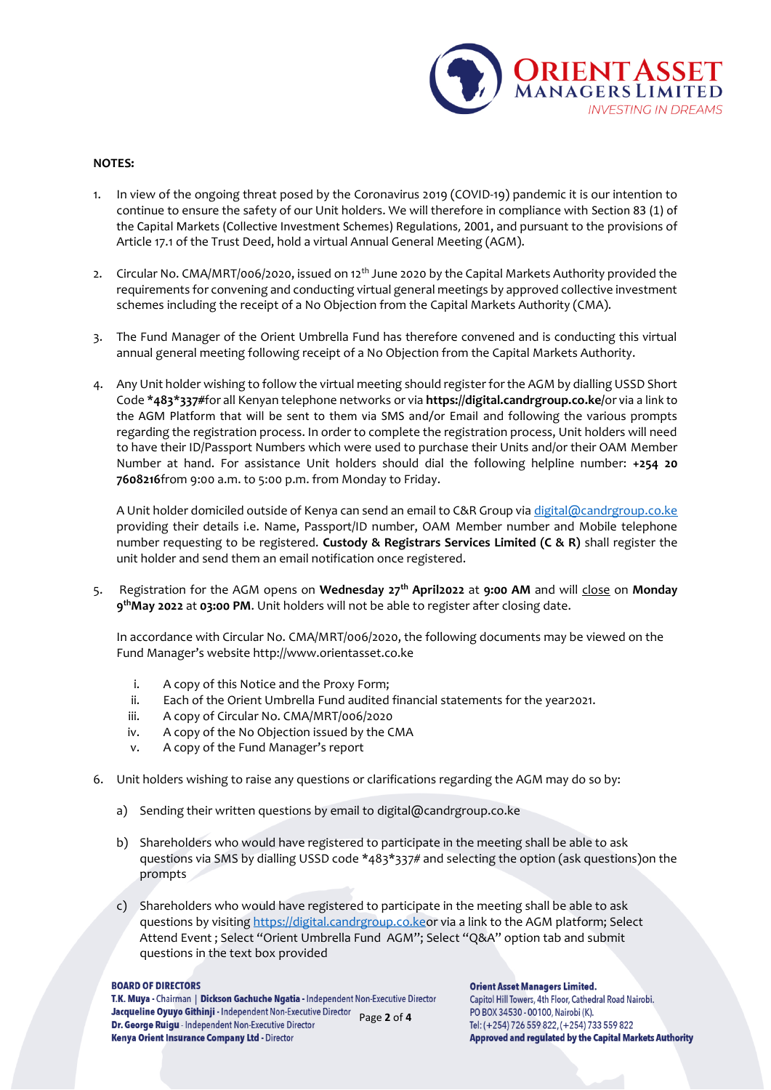

## **NOTES:**

- 1. In view of the ongoing threat posed by the Coronavirus 2019 (COVID-19) pandemic it is our intention to continue to ensure the safety of our Unit holders. We will therefore in compliance with Section 83 (1) of the Capital Markets (Collective Investment Schemes) Regulations, 2001, and pursuant to the provisions of Article 17.1 of the Trust Deed, hold a virtual Annual General Meeting (AGM).
- 2. Circular No. CMA/MRT/006/2020, issued on 12<sup>th</sup> June 2020 by the Capital Markets Authority provided the requirements for convening and conducting virtual general meetings by approved collective investment schemes including the receipt of a No Objection from the Capital Markets Authority (CMA).
- 3. The Fund Manager of the Orient Umbrella Fund has therefore convened and is conducting this virtual annual general meeting following receipt of a No Objection from the Capital Markets Authority.
- 4. Any Unit holder wishing to follow the virtual meeting should register for the AGM by dialling USSD Short Code **\*483\*337#**for all Kenyan telephone networks or via **https://digital.candrgroup.co.ke/**or via a link to the AGM Platform that will be sent to them via SMS and/or Email and following the various prompts regarding the registration process. In order to complete the registration process, Unit holders will need to have their ID/Passport Numbers which were used to purchase their Units and/or their OAM Member Number at hand. For assistance Unit holders should dial the following helpline number: **+254 20 7608216**from 9:00 a.m. to 5:00 p.m. from Monday to Friday.

A Unit holder domiciled outside of Kenya can send an email to C&R Group vi[a digital@candrgroup.co.ke](mailto:digital@candrgroup.co.ke) providing their details i.e. Name, Passport/ID number, OAM Member number and Mobile telephone number requesting to be registered. **Custody & Registrars Services Limited (C & R)** shall register the unit holder and send them an email notification once registered.

5. Registration for the AGM opens on **Wednesday 27th April2022** at **9:00 AM** and will close on **Monday 9 thMay 2022** at **03:00 PM**. Unit holders will not be able to register after closing date.

In accordance with Circular No. CMA/MRT/006/2020, the following documents may be viewed on the Fund Manager's website http://www.orientasset.co.ke

- i. A copy of this Notice and the Proxy Form;
- ii. Each of the Orient Umbrella Fund audited financial statements for the year2021.
- iii. A copy of Circular No. CMA/MRT/006/2020
- iv. A copy of the No Objection issued by the CMA
- v. A copy of the Fund Manager's report
- 6. Unit holders wishing to raise any questions or clarifications regarding the AGM may do so by:
	- a) Sending their written questions by email to digital@candrgroup.co.ke
	- b) Shareholders who would have registered to participate in the meeting shall be able to ask questions via SMS by dialling USSD code \*483\*337# and selecting the option (ask questions)on the prompts
	- c) Shareholders who would have registered to participate in the meeting shall be able to ask questions by visiting [https://digital.candrgroup.co.keo](https://digital.candrgroup.co.ke/)r via a link to the AGM platform; Select Attend Event ; Select "Orient Umbrella Fund AGM"; Select "Q&A" option tab and submit questions in the text box provided

#### **BOARD OF DIRECTORS**

T.K. Muya - Chairman | Dickson Gachuche Ngatia - Independent Non-Executive Director Jacqueline Oyuyo Githinji - Independent Non-Executive Director Page **2** of **4** Dr. George Ruigu - Independent Non-Executive Director Kenya Orient Insurance Company Ltd - Director

#### **Orient Asset Managers Limited.**

Capitol Hill Towers, 4th Floor, Cathedral Road Nairobi. PO BOX 34530 - 00100, Nairobi (K). Tel: (+254) 726 559 822, (+254) 733 559 822 **Approved and regulated by the Capital Markets Authority**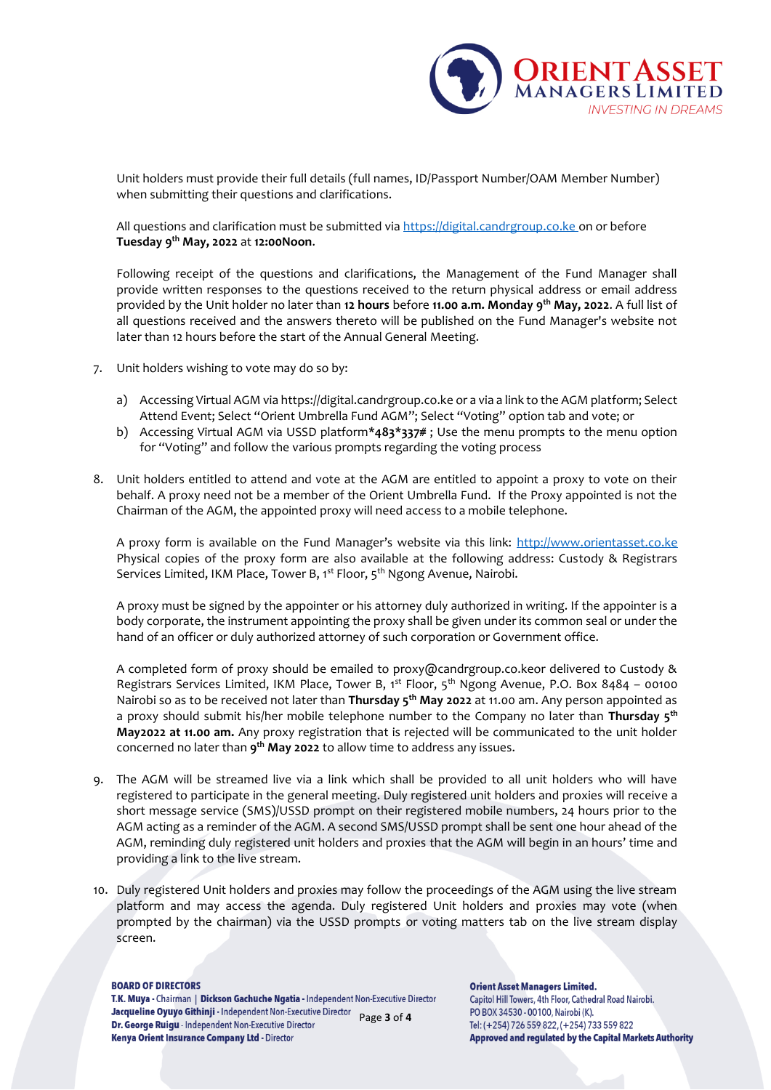

Unit holders must provide their full details (full names, ID/Passport Number/OAM Member Number) when submitting their questions and clarifications.

All questions and clarification must be submitted vi[a https://digital.candrgroup.co.ke](https://digital.candrgroup.co.ke/) on or before **Tuesday 9 th May, 2022** at **12:00Noon**.

Following receipt of the questions and clarifications, the Management of the Fund Manager shall provide written responses to the questions received to the return physical address or email address provided by the Unit holder no later than **12 hours** before **11.00 a.m. Monday 9th May, 2022**. A full list of all questions received and the answers thereto will be published on the Fund Manager's website not later than 12 hours before the start of the Annual General Meeting.

- 7. Unit holders wishing to vote may do so by:
	- a) Accessing Virtual AGM via https://digital.candrgroup.co.ke or a via a link to the AGM platform; Select Attend Event; Select "Orient Umbrella Fund AGM"; Select "Voting" option tab and vote; or
	- b) Accessing Virtual AGM via USSD platform**\*483\*337#** ; Use the menu prompts to the menu option for "Voting" and follow the various prompts regarding the voting process
- 8. Unit holders entitled to attend and vote at the AGM are entitled to appoint a proxy to vote on their behalf. A proxy need not be a member of the Orient Umbrella Fund. If the Proxy appointed is not the Chairman of the AGM, the appointed proxy will need access to a mobile telephone.

A proxy form is available on the Fund Manager's website via this link: [http://www.orientasset.co.ke](http://www.orientasset.co.ke/) Physical copies of the proxy form are also available at the following address: Custody & Registrars Services Limited, IKM Place, Tower B, 1<sup>st</sup> Floor, 5<sup>th</sup> Ngong Avenue, Nairobi.

A proxy must be signed by the appointer or his attorney duly authorized in writing. If the appointer is a body corporate, the instrument appointing the proxy shall be given under its common seal or under the hand of an officer or duly authorized attorney of such corporation or Government office.

A completed form of proxy should be emailed to proxy@candrgroup.co.keor delivered to Custody & Registrars Services Limited, IKM Place, Tower B, 1st Floor, 5th Ngong Avenue, P.O. Box 8484 – 00100 Nairobi so as to be received not later than **Thursday 5th May 2022** at 11.00 am. Any person appointed as a proxy should submit his/her mobile telephone number to the Company no later than **Thursday 5th May2022 at 11.00 am.** Any proxy registration that is rejected will be communicated to the unit holder concerned no later than **9 th May 2022** to allow time to address any issues.

- 9. The AGM will be streamed live via a link which shall be provided to all unit holders who will have registered to participate in the general meeting. Duly registered unit holders and proxies will receive a short message service (SMS)/USSD prompt on their registered mobile numbers, 24 hours prior to the AGM acting as a reminder of the AGM. A second SMS/USSD prompt shall be sent one hour ahead of the AGM, reminding duly registered unit holders and proxies that the AGM will begin in an hours' time and providing a link to the live stream.
- 10. Duly registered Unit holders and proxies may follow the proceedings of the AGM using the live stream platform and may access the agenda. Duly registered Unit holders and proxies may vote (when prompted by the chairman) via the USSD prompts or voting matters tab on the live stream display screen.

#### **BOARD OF DIRECTORS**

T.K. Muya - Chairman | Dickson Gachuche Ngatia - Independent Non-Executive Director Jacqueline Oyuyo Githinji - Independent Non-Executive Director Page **3** of **4** Dr. George Ruigu - Independent Non-Executive Director Kenya Orient Insurance Company Ltd - Director

**Orient Asset Managers Limited.** Capitol Hill Towers, 4th Floor, Cathedral Road Nairobi. PO BOX 34530 - 00100, Nairobi (K). Tel: (+254) 726 559 822, (+254) 733 559 822 **Approved and regulated by the Capital Markets Authority**